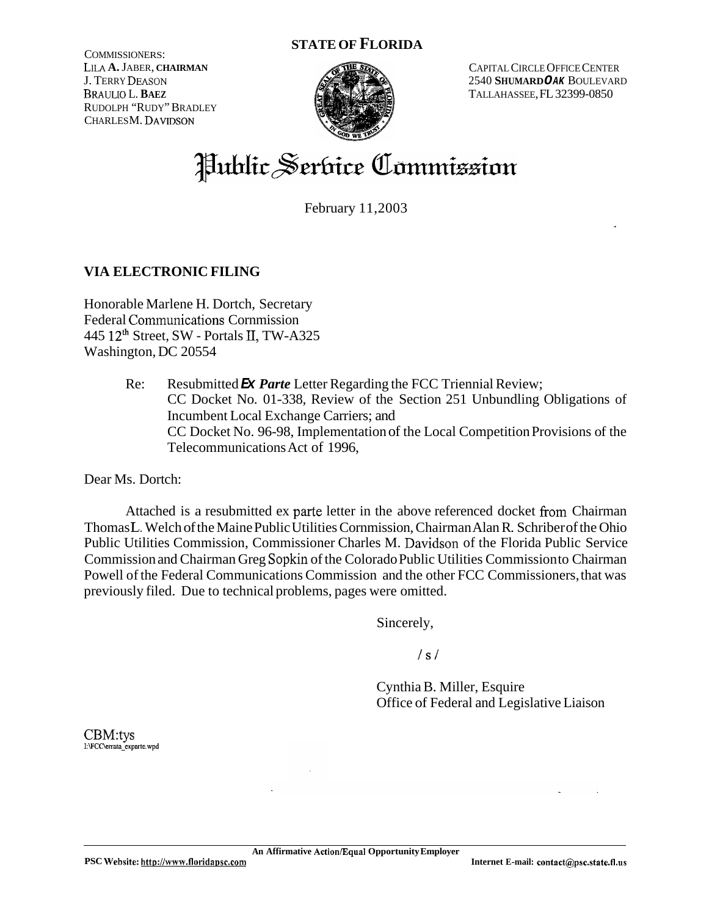### **STATE OF FLORIDA**

COMMISSIONERS: LILA **A.** JABER, **CHAIRMAN**  J. TERRY DEASON BRAULIO L.**BAEZ**  RUDOLPH "RUDY" BRADLEY CHARLES M. DAVIDSON



CAPITAL CIRCLE OFFICE CENTER 2540 **SHUMARD** *OAK* BOULEVARD TALLAHASSEE, FL 32399-0850

# Hublic Serbice Commizzion

February 11,2003

# **VIA ELECTRONIC FILING**

Honorable Marlene H. Dortch, Secretary Federal Communications Cornmission 445 **12th** Street, SW - Portals **II,** TW-A325 Washington, DC 20554

> Re: Resubmitted *Ex Parte* Letter Regarding the FCC Triennial Review; CC Docket No. 01-338, Review of the Section 251 Unbundling Obligations of Incumbent Local Exchange Carriers; and CC Docket No. 96-98, Implementation of the Local Competition Provisions of the Telecommunications Act of 1996,

Dear Ms. Dortch:

Attached is a resubmitted ex parte letter in the above referenced docket from Chairman Thomas L. Welch of the Maine Public Utilities Cornmission, Chairman Alan R. Schriber of the Ohio Public Utilities Commission, Commissioner Charles M. Davidson of the Florida Public Service Commission and Chairman Greg Sopkin of the Colorado Public Utilities Commission to Chairman Powell of the Federal Communications Commission and the other FCC Commissioners, that was previously filed. Due to technical problems, pages were omitted.

Sincerely,

/s/

Cynthia B. Miller, Esquire Office of Federal and Legislative Liaison

CBM:tys **I:WCC\errata-expane.wpd**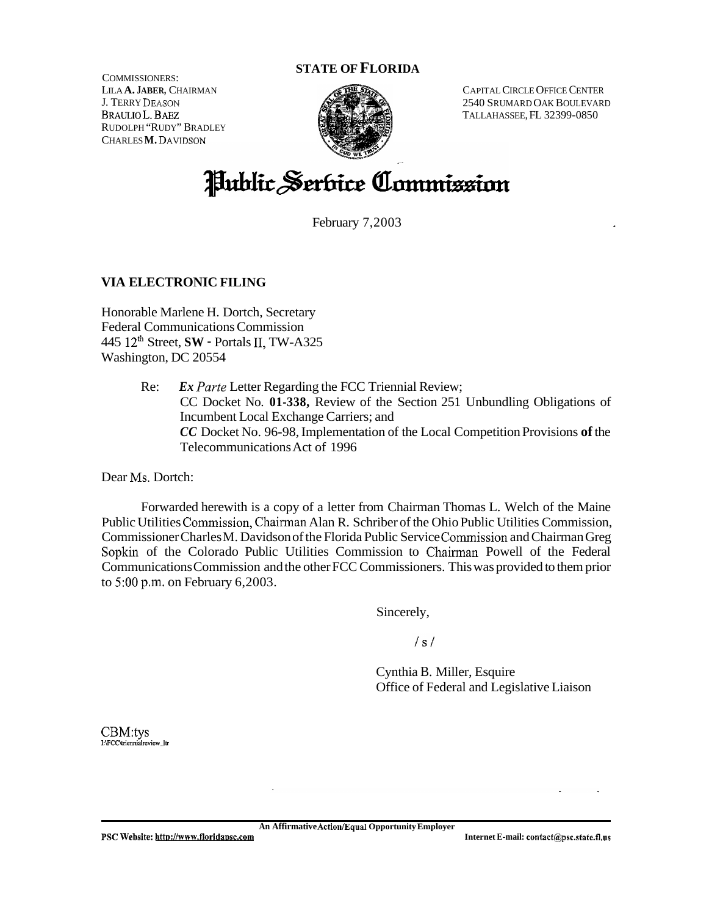#### **STATE OF FLORIDA**

COMMISSIONERS: LILA **A. JABER,** CHAIRMAN J. TERRY DEASON BRAULIO L. BAEZ RUDOLPH "RUDY" BRADLEY CHARLES **M.** DAVIDSON



CAPITAL CIRCLE OFFICE CENTER 2540 SRUMARD OAK BOULEVARD TALLAHASSEE, FL 32399-0850

# Hublic Serbice Commission

February 7,2003

## **VIA ELECTRONIC FILING**

Honorable Marlene H. Dortch, Secretary Federal Communications Commission 445 12th Street, **SW** - Portals 11, TW-A325 Washington, DC 20554

> Re: *Ex Parte* Letter Regarding the FCC Triennial Review; CC Docket No. **01-338,** Review of the Section 251 Unbundling Obligations of Incumbent Local Exchange Carriers; and *CC* Docket No. 96-98, Implementation of the Local Competition Provisions **of** the Telecommunications Act of 1996

Dear Ms. Dortch:

Forwarded herewith is a copy of a letter from Chairman Thomas L. Welch of the Maine Public Utilities Commission, Chairman Alan R. Schriber of the Ohio Public Utilities Commission, Commissioner Charles M. Davidson of the Florida Public Service Commission and Chairman Greg **Sopkin** of the Colorado Public Utilities Commission to Chaiman Powell of the Federal Communications Commission and the other FCC Commissioners. This was provided to them prior to *5:OO* **p.m.** on February 6,2003.

Sincerely,

 $/s/$ 

Cynthia B. Miller, Esquire Office of Federal and Legislative Liaison

CBM:tys **I:WCC\triennialreview-ltr** 

**An Affirmative Action/Equal Opportunity Employer**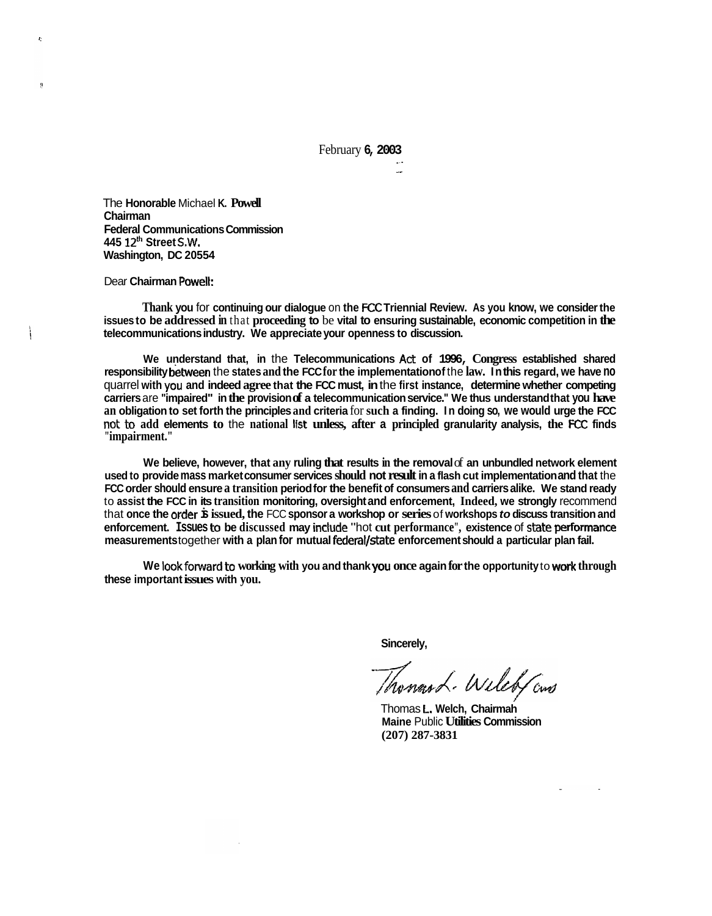February **6, 2003** 

~- \_. -

The **Honorable** Michael **K. Powell Chairman Federal Communications Commission 445 12th Street S.W. Washington, DC 20554** 

Dear **Chairman Powelt:** 

 $\hat{P}$ 

ŋ

**Thank you** for **continuing our dialogue** on **the** FCC **Triennial Review. As you know, we consider the issues to be addressed in** that **proceeding to** be **vital to ensuring sustainable, economic competition in the telecommunications industry. We appreciate your openness to discussion.** 

**We understand that, in** the **Telecommunications Act of 1996, Congress established shared responsibility behveen** the **states and the FCC for the implementation of** the **law. In this regard, we have no**  quarrel **with you and indeed agree that the FCC must, in** the **first instance, determine whether competing carriers** are **"impaired" in the provision of a telecommunication service." We thus understand that you have an obligation to set forth the principles and criteria** for **such a finding. In doing so, we would urge the FCC**  not: **to add elements to** the **national Ifst unless, after a principled granularity analysis, the** FCC **finds "impairment."** 

**We believe, however, that any ruling that results in the removal** of **an unbundled network element used to provide mass market consumer services should not result in a flash cut implementation and that** the **FCC order should ensure a transition period for the benefit of consumers and carriers alike. We stand ready**  to **assist the FCC in its transition monitoring, oversight and enforcement, Indeed, we strongly** recommend that **once the order is issued, the** FCC **sponsor a workshop or series** of **workshops** *to* **discuss transition and enforcement. Issues to be discussed may include** "hot **cut performance", existence** of state **pedormance measurements** together **with a plan for mutual federat/state enforcement should a particular plan fail.** 

**We look fonrvard to working with you and thank you once again for the opportunity** to **work through these important issues with you.** 

**Sincerely,** 

Toward. Wileb Gows

Thomas **t, Welch, Chairmah Maine** Public **Utilities Commission (207) 287-3831**